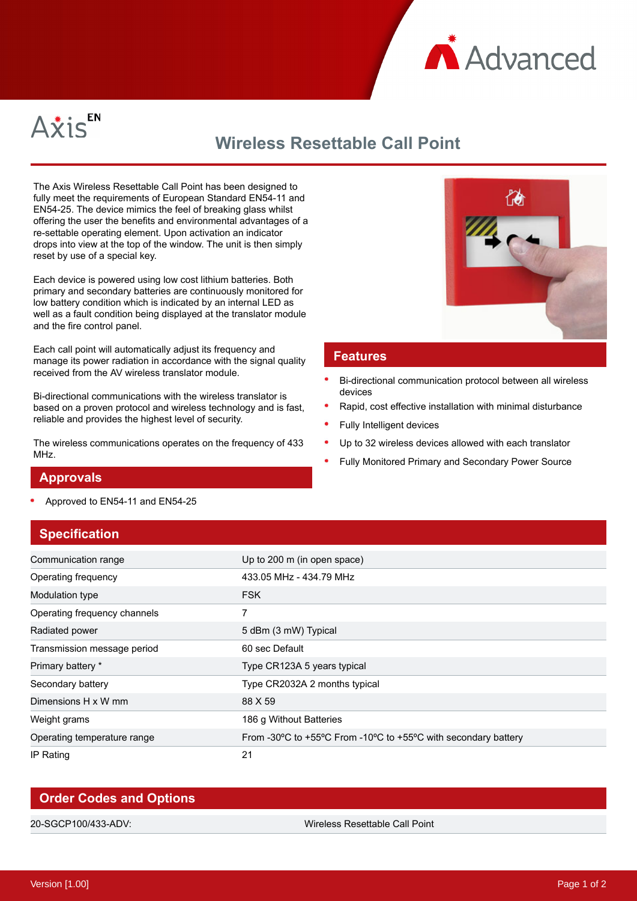



# **Wireless Resettable Call Point**

The Axis Wireless Resettable Call Point has been designed to fully meet the requirements of European Standard EN54-11 and EN54-25. The device mimics the feel of breaking glass whilst offering the user the benefits and environmental advantages of a re-settable operating element. Upon activation an indicator drops into view at the top of the window. The unit is then simply reset by use of a special key.

Each device is powered using low cost lithium batteries. Both primary and secondary batteries are continuously monitored for low battery condition which is indicated by an internal LED as well as a fault condition being displayed at the translator module and the fire control panel.

Each call point will automatically adjust its frequency and manage its power radiation in accordance with the signal quality received from the AV wireless translator module.

Bi-directional communications with the wireless translator is based on a proven protocol and wireless technology and is fast, reliable and provides the highest level of security.

The wireless communications operates on the frequency of 433 MH<sub>z</sub>



#### **Features**

- Bi-directional communication protocol between all wireless devices
- Rapid, cost effective installation with minimal disturbance
- Fully Intelligent devices
- Up to 32 wireless devices allowed with each translator
- Fully Monitored Primary and Secondary Power Source

#### **Approvals**

Approved to EN54-11 and EN54-25

## **Specification**

| Communication range          | Up to 200 m (in open space)                                                                            |
|------------------------------|--------------------------------------------------------------------------------------------------------|
| Operating frequency          | 433.05 MHz - 434.79 MHz                                                                                |
| Modulation type              | <b>FSK</b>                                                                                             |
| Operating frequency channels | 7                                                                                                      |
| Radiated power               | 5 dBm (3 mW) Typical                                                                                   |
| Transmission message period  | 60 sec Default                                                                                         |
| Primary battery *            | Type CR123A 5 years typical                                                                            |
| Secondary battery            | Type CR2032A 2 months typical                                                                          |
| Dimensions H x W mm          | 88 X 59                                                                                                |
| Weight grams                 | 186 g Without Batteries                                                                                |
| Operating temperature range  | From -30 $\degree$ C to +55 $\degree$ C From -10 $\degree$ C to +55 $\degree$ C with secondary battery |
| IP Rating                    | 21                                                                                                     |

| <b>Order Codes and Options</b> |                                |  |
|--------------------------------|--------------------------------|--|
|                                |                                |  |
| 20-SGCP100/433-ADV:            | Wireless Resettable Call Point |  |